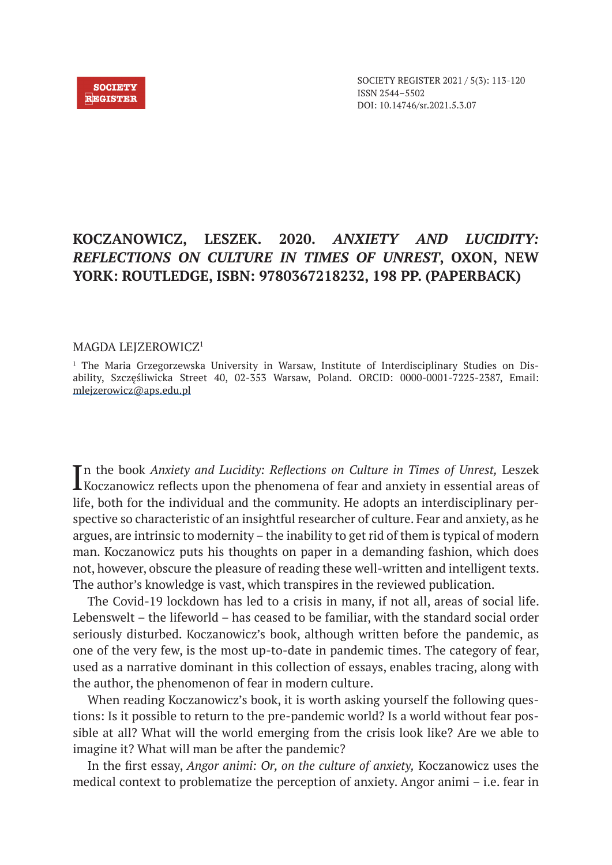## **KOCZANOWICZ, LESZEK. 2020.** *ANXIETY AND LUCIDITY: REFLECTIONS ON CULTURE IN TIMES OF UNREST***, OXON, NEW YORK: ROUTLEDGE, ISBN: 9780367218232, 198 PP. (PAPERBACK)**

## MAGDA LEJZEROWICZ<sup>1</sup>

1 The Maria Grzegorzewska University in Warsaw, Institute of Interdisciplinary Studies on Disability, Szczęśliwicka Street 40, 02-353 Warsaw, Poland. ORCID: 0000-0001-7225-2387, Email: mlejzerowicz@aps.edu.pl

In the book *Anxiety and Lucidity: Reflections on Culture in Times of Unrest*, Leszek Koczanowicz reflects upon the phenomena of fear and anxiety in essential areas of **L** Koczanowicz reflects upon the phenomena of fear and anxiety in essential areas of life, both for the individual and the community. He adopts an interdisciplinary perspective so characteristic of an insightful researcher of culture. Fear and anxiety, as he argues, are intrinsic to modernity – the inability to get rid of them is typical of modern man. Koczanowicz puts his thoughts on paper in a demanding fashion, which does not, however, obscure the pleasure of reading these well-written and intelligent texts. The author's knowledge is vast, which transpires in the reviewed publication.

The Covid-19 lockdown has led to a crisis in many, if not all, areas of social life. Lebenswelt – the lifeworld – has ceased to be familiar, with the standard social order seriously disturbed. Koczanowicz's book, although written before the pandemic, as one of the very few, is the most up-to-date in pandemic times. The category of fear, used as a narrative dominant in this collection of essays, enables tracing, along with the author, the phenomenon of fear in modern culture.

When reading Koczanowicz's book, it is worth asking yourself the following questions: Is it possible to return to the pre-pandemic world? Is a world without fear possible at all? What will the world emerging from the crisis look like? Are we able to imagine it? What will man be after the pandemic?

In the first essay, *Angor animi: Or, on the culture of anxiety,* Koczanowicz uses the medical context to problematize the perception of anxiety. Angor animi – i.e. fear in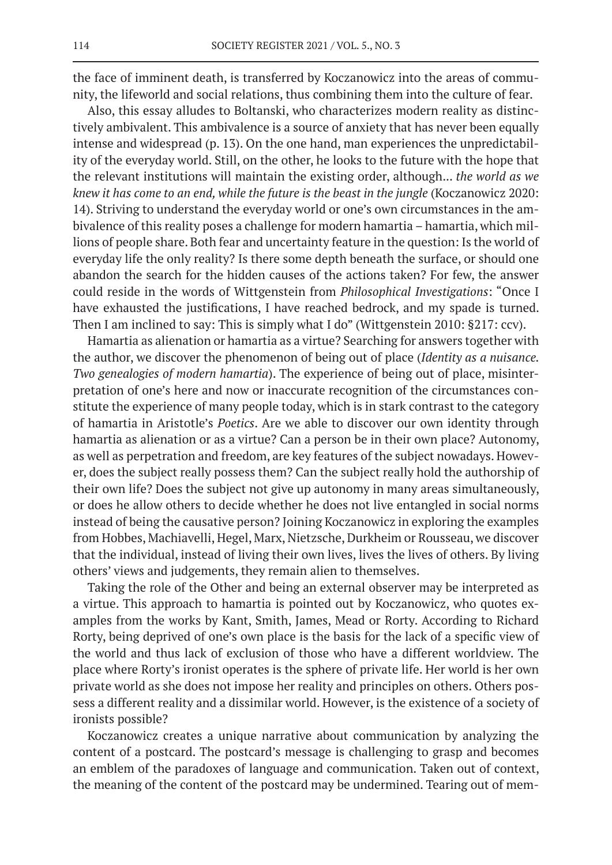the face of imminent death, is transferred by Koczanowicz into the areas of community, the lifeworld and social relations, thus combining them into the culture of fear.

Also, this essay alludes to Boltanski, who characterizes modern reality as distinctively ambivalent. This ambivalence is a source of anxiety that has never been equally intense and widespread (p. 13). On the one hand, man experiences the unpredictability of the everyday world. Still, on the other, he looks to the future with the hope that the relevant institutions will maintain the existing order, although... *the world as we knew it has come to an end, while the future is the beast in the jungle* (Koczanowicz 2020: 14). Striving to understand the everyday world or one's own circumstances in the ambivalence of this reality poses a challenge for modern hamartia – hamartia, which millions of people share. Both fear and uncertainty feature in the question: Is the world of everyday life the only reality? Is there some depth beneath the surface, or should one abandon the search for the hidden causes of the actions taken? For few, the answer could reside in the words of Wittgenstein from *Philosophical Investigations*: "Once I have exhausted the justifications, I have reached bedrock, and my spade is turned. Then I am inclined to say: This is simply what I do" (Wittgenstein 2010: §217: ccv).

Hamartia as alienation or hamartia as a virtue? Searching for answers together with the author, we discover the phenomenon of being out of place (*Identity as a nuisance. Two genealogies of modern hamartia*). The experience of being out of place, misinterpretation of one's here and now or inaccurate recognition of the circumstances constitute the experience of many people today, which is in stark contrast to the category of hamartia in Aristotle's *Poetics*. Are we able to discover our own identity through hamartia as alienation or as a virtue? Can a person be in their own place? Autonomy, as well as perpetration and freedom, are key features of the subject nowadays. However, does the subject really possess them? Can the subject really hold the authorship of their own life? Does the subject not give up autonomy in many areas simultaneously, or does he allow others to decide whether he does not live entangled in social norms instead of being the causative person? Joining Koczanowicz in exploring the examples from Hobbes, Machiavelli, Hegel, Marx, Nietzsche, Durkheim or Rousseau, we discover that the individual, instead of living their own lives, lives the lives of others. By living others' views and judgements, they remain alien to themselves.

Taking the role of the Other and being an external observer may be interpreted as a virtue. This approach to hamartia is pointed out by Koczanowicz, who quotes examples from the works by Kant, Smith, James, Mead or Rorty. According to Richard Rorty, being deprived of one's own place is the basis for the lack of a specific view of the world and thus lack of exclusion of those who have a different worldview. The place where Rorty's ironist operates is the sphere of private life. Her world is her own private world as she does not impose her reality and principles on others. Others possess a different reality and a dissimilar world. However, is the existence of a society of ironists possible?

Koczanowicz creates a unique narrative about communication by analyzing the content of a postcard. The postcard's message is challenging to grasp and becomes an emblem of the paradoxes of language and communication. Taken out of context, the meaning of the content of the postcard may be undermined. Tearing out of mem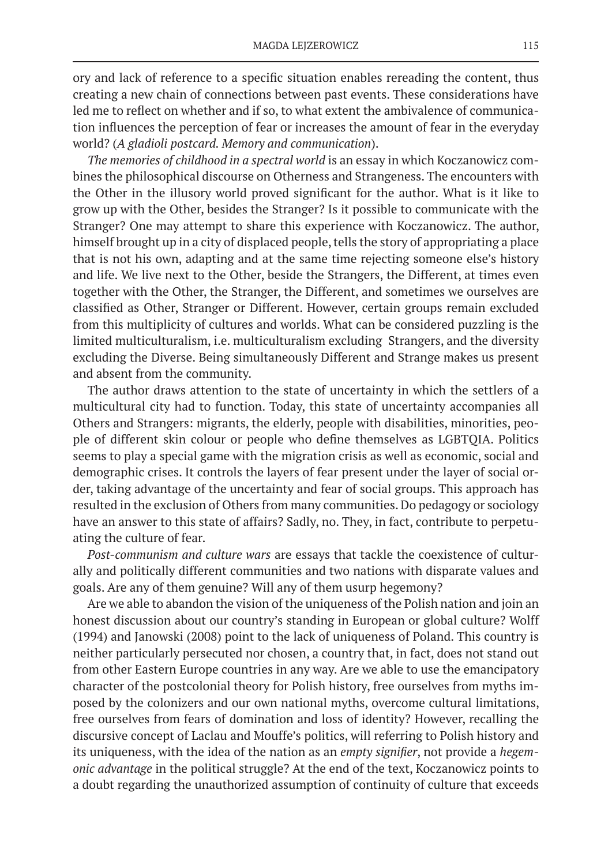ory and lack of reference to a specific situation enables rereading the content, thus creating a new chain of connections between past events. These considerations have led me to reflect on whether and if so, to what extent the ambivalence of communication influences the perception of fear or increases the amount of fear in the everyday world? (*A gladioli postcard. Memory and communication*).

*The memories of childhood in a spectral world* is an essay in which Koczanowicz combines the philosophical discourse on Otherness and Strangeness. The encounters with the Other in the illusory world proved significant for the author. What is it like to grow up with the Other, besides the Stranger? Is it possible to communicate with the Stranger? One may attempt to share this experience with Koczanowicz. The author, himself brought up in a city of displaced people, tells the story of appropriating a place that is not his own, adapting and at the same time rejecting someone else's history and life. We live next to the Other, beside the Strangers, the Different, at times even together with the Other, the Stranger, the Different, and sometimes we ourselves are classified as Other, Stranger or Different. However, certain groups remain excluded from this multiplicity of cultures and worlds. What can be considered puzzling is the limited multiculturalism, i.e. multiculturalism excluding Strangers, and the diversity excluding the Diverse. Being simultaneously Different and Strange makes us present and absent from the community.

The author draws attention to the state of uncertainty in which the settlers of a multicultural city had to function. Today, this state of uncertainty accompanies all Others and Strangers: migrants, the elderly, people with disabilities, minorities, people of different skin colour or people who define themselves as LGBTQIA. Politics seems to play a special game with the migration crisis as well as economic, social and demographic crises. It controls the layers of fear present under the layer of social order, taking advantage of the uncertainty and fear of social groups. This approach has resulted in the exclusion of Others from many communities. Do pedagogy or sociology have an answer to this state of affairs? Sadly, no. They, in fact, contribute to perpetuating the culture of fear.

*Post-communism and culture wars* are essays that tackle the coexistence of culturally and politically different communities and two nations with disparate values and goals. Are any of them genuine? Will any of them usurp hegemony?

Are we able to abandon the vision of the uniqueness of the Polish nation and join an honest discussion about our country's standing in European or global culture? Wolff (1994) and Janowski (2008) point to the lack of uniqueness of Poland. This country is neither particularly persecuted nor chosen, a country that, in fact, does not stand out from other Eastern Europe countries in any way. Are we able to use the emancipatory character of the postcolonial theory for Polish history, free ourselves from myths imposed by the colonizers and our own national myths, overcome cultural limitations, free ourselves from fears of domination and loss of identity? However, recalling the discursive concept of Laclau and Mouffe's politics, will referring to Polish history and its uniqueness, with the idea of the nation as an *empty signifier*, not provide a *hegemonic advantage* in the political struggle? At the end of the text, Koczanowicz points to a doubt regarding the unauthorized assumption of continuity of culture that exceeds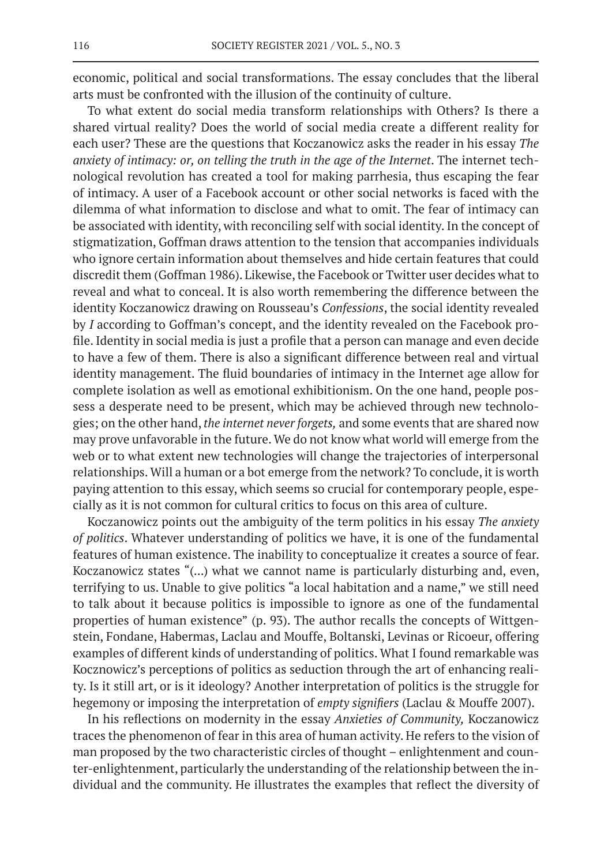economic, political and social transformations. The essay concludes that the liberal arts must be confronted with the illusion of the continuity of culture.

To what extent do social media transform relationships with Others? Is there a shared virtual reality? Does the world of social media create a different reality for each user? These are the questions that Koczanowicz asks the reader in his essay *The anxiety of intimacy: or, on telling the truth in the age of the Internet*. The internet technological revolution has created a tool for making parrhesia, thus escaping the fear of intimacy. A user of a Facebook account or other social networks is faced with the dilemma of what information to disclose and what to omit. The fear of intimacy can be associated with identity, with reconciling self with social identity. In the concept of stigmatization, Goffman draws attention to the tension that accompanies individuals who ignore certain information about themselves and hide certain features that could discredit them (Goffman 1986). Likewise, the Facebook or Twitter user decides what to reveal and what to conceal. It is also worth remembering the difference between the identity Koczanowicz drawing on Rousseau's *Confessions*, the social identity revealed by *I* according to Goffman's concept, and the identity revealed on the Facebook profile. Identity in social media is just a profile that a person can manage and even decide to have a few of them. There is also a significant difference between real and virtual identity management. The fluid boundaries of intimacy in the Internet age allow for complete isolation as well as emotional exhibitionism. On the one hand, people possess a desperate need to be present, which may be achieved through new technologies; on the other hand, *the internet never forgets,* and some events that are shared now may prove unfavorable in the future. We do not know what world will emerge from the web or to what extent new technologies will change the trajectories of interpersonal relationships. Will a human or a bot emerge from the network? To conclude, it is worth paying attention to this essay, which seems so crucial for contemporary people, especially as it is not common for cultural critics to focus on this area of culture.

Koczanowicz points out the ambiguity of the term politics in his essay *The anxiety of politics*. Whatever understanding of politics we have, it is one of the fundamental features of human existence. The inability to conceptualize it creates a source of fear. Koczanowicz states "(...) what we cannot name is particularly disturbing and, even, terrifying to us. Unable to give politics "a local habitation and a name," we still need to talk about it because politics is impossible to ignore as one of the fundamental properties of human existence" (p. 93). The author recalls the concepts of Wittgenstein, Fondane, Habermas, Laclau and Mouffe, Boltanski, Levinas or Ricoeur, offering examples of different kinds of understanding of politics. What I found remarkable was Kocznowicz's perceptions of politics as seduction through the art of enhancing reality. Is it still art, or is it ideology? Another interpretation of politics is the struggle for hegemony or imposing the interpretation of *empty signifiers* (Laclau & Mouffe 2007).

In his reflections on modernity in the essay *Anxieties of Community,* Koczanowicz traces the phenomenon of fear in this area of human activity. He refers to the vision of man proposed by the two characteristic circles of thought – enlightenment and counter-enlightenment, particularly the understanding of the relationship between the individual and the community. He illustrates the examples that reflect the diversity of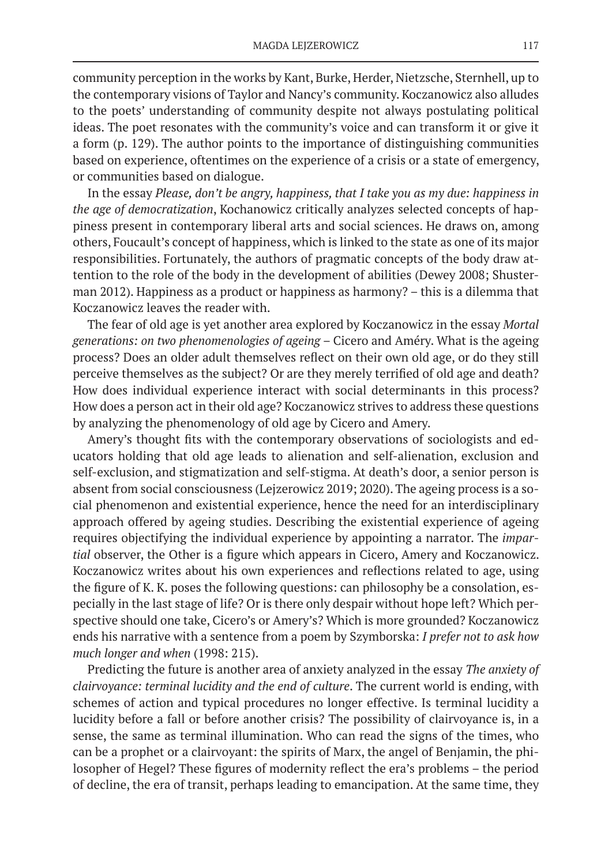community perception in the works by Kant, Burke, Herder, Nietzsche, Sternhell, up to the contemporary visions of Taylor and Nancy's community. Koczanowicz also alludes to the poets' understanding of community despite not always postulating political ideas. The poet resonates with the community's voice and can transform it or give it a form (p. 129). The author points to the importance of distinguishing communities based on experience, oftentimes on the experience of a crisis or a state of emergency, or communities based on dialogue.

In the essay *Please, don't be angry, happiness, that I take you as my due: happiness in the age of democratization*, Kochanowicz critically analyzes selected concepts of happiness present in contemporary liberal arts and social sciences. He draws on, among others, Foucault's concept of happiness, which is linked to the state as one of its major responsibilities. Fortunately, the authors of pragmatic concepts of the body draw attention to the role of the body in the development of abilities (Dewey 2008; Shusterman 2012). Happiness as a product or happiness as harmony? – this is a dilemma that Koczanowicz leaves the reader with.

The fear of old age is yet another area explored by Koczanowicz in the essay *Mortal generations: on two phenomenologies of ageing* – Cicero and Améry. What is the ageing process? Does an older adult themselves reflect on their own old age, or do they still perceive themselves as the subject? Or are they merely terrified of old age and death? How does individual experience interact with social determinants in this process? How does a person act in their old age? Koczanowicz strives to address these questions by analyzing the phenomenology of old age by Cicero and Amery.

Amery's thought fits with the contemporary observations of sociologists and educators holding that old age leads to alienation and self-alienation, exclusion and self-exclusion, and stigmatization and self-stigma. At death's door, a senior person is absent from social consciousness (Lejzerowicz 2019; 2020). The ageing process is a social phenomenon and existential experience, hence the need for an interdisciplinary approach offered by ageing studies. Describing the existential experience of ageing requires objectifying the individual experience by appointing a narrator. The *impartial* observer, the Other is a figure which appears in Cicero, Amery and Koczanowicz. Koczanowicz writes about his own experiences and reflections related to age, using the figure of K. K. poses the following questions: can philosophy be a consolation, especially in the last stage of life? Or is there only despair without hope left? Which perspective should one take, Cicero's or Amery's? Which is more grounded? Koczanowicz ends his narrative with a sentence from a poem by Szymborska: *I prefer not to ask how much longer and when* (1998: 215).

Predicting the future is another area of anxiety analyzed in the essay *The anxiety of clairvoyance: terminal lucidity and the end of culture*. The current world is ending, with schemes of action and typical procedures no longer effective. Is terminal lucidity a lucidity before a fall or before another crisis? The possibility of clairvoyance is, in a sense, the same as terminal illumination. Who can read the signs of the times, who can be a prophet or a clairvoyant: the spirits of Marx, the angel of Benjamin, the philosopher of Hegel? These figures of modernity reflect the era's problems – the period of decline, the era of transit, perhaps leading to emancipation. At the same time, they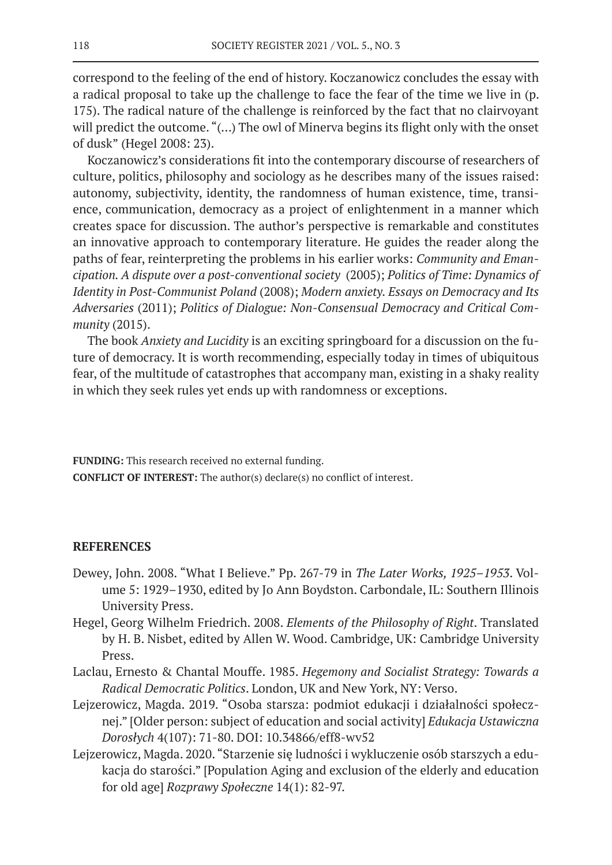correspond to the feeling of the end of history. Koczanowicz concludes the essay with a radical proposal to take up the challenge to face the fear of the time we live in (p. 175). The radical nature of the challenge is reinforced by the fact that no clairvoyant will predict the outcome. "(...) The owl of Minerva begins its flight only with the onset of dusk" (Hegel 2008: 23).

Koczanowicz's considerations fit into the contemporary discourse of researchers of culture, politics, philosophy and sociology as he describes many of the issues raised: autonomy, subjectivity, identity, the randomness of human existence, time, transience, communication, democracy as a project of enlightenment in a manner which creates space for discussion. The author's perspective is remarkable and constitutes an innovative approach to contemporary literature. He guides the reader along the paths of fear, reinterpreting the problems in his earlier works: *Community and Emancipation. A dispute over a post-conventional society* (2005); *Politics of Time: Dynamics of Identity in Post-Communist Poland* (2008); *Modern anxiety. Essays on Democracy and Its Adversaries* (2011); *Politics of Dialogue: Non-Consensual Democracy and Critical Community* (2015).

The book *Anxiety and Lucidity* is an exciting springboard for a discussion on the future of democracy. It is worth recommending, especially today in times of ubiquitous fear, of the multitude of catastrophes that accompany man, existing in a shaky reality in which they seek rules yet ends up with randomness or exceptions.

**FUNDING:** This research received no external funding. **CONFLICT OF INTEREST:** The author(s) declare(s) no conflict of interest.

## **REFERENCES**

- Dewey, John. 2008. "What I Believe." Pp. 267-79 in *The Later Works, 1925–1953*. Volume 5: 1929–1930, edited by Jo Ann Boydston. Carbondale, IL: Southern Illinois University Press.
- Hegel, Georg Wilhelm Friedrich. 2008. *Elements of the Philosophy of Right*. Translated by H. B. Nisbet, edited by Allen W. Wood. Cambridge, UK: Cambridge University Press.
- Laclau, Ernesto & Chantal Mouffe. 1985. *Hegemony and Socialist Strategy: Towards a Radical Democratic Politics*. London, UK and New York, NY: Verso.
- Lejzerowicz, Magda. 2019. "Osoba starsza: podmiot edukacji i działalności społecznej." [Older person: subject of education and social activity] *Edukacja Ustawiczna Dorosłych* 4(107): 71-80. DOI: 10.34866/eff8-wv52
- Lejzerowicz, Magda. 2020. "Starzenie się ludności i wykluczenie osób starszych a edukacja do starości." [Population Aging and exclusion of the elderly and education for old age] *Rozprawy Społeczne* 14(1): 82-97.